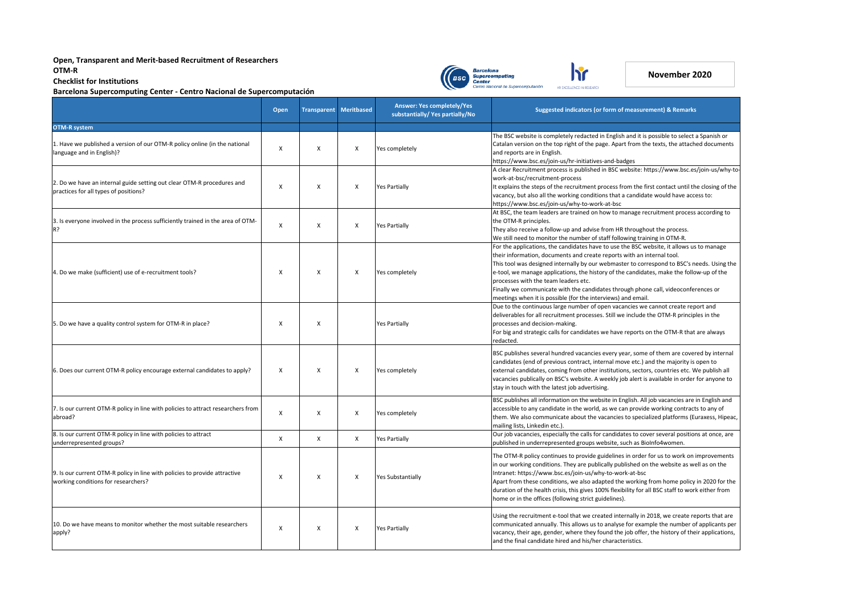|                                                                                                                   | <b>Open</b>  |   | <b>Transparent Meritbased</b> | <b>Answer: Yes completely/Yes</b><br>substantially/Yes partially/No | <b>Suggested indicators (or form of measurement) &amp; Remarks</b>                                                                                                                                                                                                                                                                                                                                                                                                                                                                                         |  |
|-------------------------------------------------------------------------------------------------------------------|--------------|---|-------------------------------|---------------------------------------------------------------------|------------------------------------------------------------------------------------------------------------------------------------------------------------------------------------------------------------------------------------------------------------------------------------------------------------------------------------------------------------------------------------------------------------------------------------------------------------------------------------------------------------------------------------------------------------|--|
| <b>OTM-R system</b>                                                                                               |              |   |                               |                                                                     |                                                                                                                                                                                                                                                                                                                                                                                                                                                                                                                                                            |  |
| 1. Have we published a version of our OTM-R policy online (in the national<br>language and in English)?           | X            | X | X                             | Yes completely                                                      | The BSC website is completely redacted in English and it is possible to select a Spanish or<br>Catalan version on the top right of the page. Apart from the texts, the attached documents<br>and reports are in English.<br>https://www.bsc.es/join-us/hr-initiatives-and-badges                                                                                                                                                                                                                                                                           |  |
| 2. Do we have an internal guide setting out clear OTM-R procedures and<br>practices for all types of positions?   | X            | X | $\mathsf{X}$                  | <b>Yes Partially</b>                                                | A clear Recruitment process is published in BSC website: https://www.bsc.es/join-us/why-to-<br>work-at-bsc/recruitment-process<br>It explains the steps of the recruitment process from the first contact until the closing of the<br>vacancy, but also all the working conditions that a candidate would have access to:<br>https://www.bsc.es/join-us/why-to-work-at-bsc                                                                                                                                                                                 |  |
| 3. Is everyone involved in the process sufficiently trained in the area of OTM-<br>R?                             | $\mathsf{X}$ | X | $\mathsf{X}$                  | <b>Yes Partially</b>                                                | At BSC, the team leaders are trained on how to manage recruitment process according to<br>the OTM-R principles.<br>They also receive a follow-up and advise from HR throughout the process.<br>We still need to monitor the number of staff following training in OTM-R.                                                                                                                                                                                                                                                                                   |  |
| 4. Do we make (sufficient) use of e-recruitment tools?                                                            |              | X | X                             | Yes completely                                                      | For the applications, the candidates have to use the BSC website, it allows us to manage<br>their information, documents and create reports with an internal tool.<br>This tool was designed internally by our webmaster to correspond to BSC's needs. Using the<br>e-tool, we manage applications, the history of the candidates, make the follow-up of the<br>processes with the team leaders etc.<br>Finally we communicate with the candidates through phone call, videoconferences or<br>meetings when it is possible (for the interviews) and email. |  |
| 5. Do we have a quality control system for OTM-R in place?                                                        |              | X |                               | <b>Yes Partially</b>                                                | Due to the continuous large number of open vacancies we cannot create report and<br>deliverables for all recruitment processes. Still we include the OTM-R principles in the<br>processes and decision-making.<br>For big and strategic calls for candidates we have reports on the OTM-R that are always<br>redacted.                                                                                                                                                                                                                                     |  |
| 6. Does our current OTM-R policy encourage external candidates to apply?                                          | x            | X | $\mathsf{X}$                  | Yes completely                                                      | BSC publishes several hundred vacancies every year, some of them are covered by internal<br>candidates (end of previous contract, internal move etc.) and the majority is open to<br>external candidates, coming from other institutions, sectors, countries etc. We publish all<br>vacancies publically on BSC's website. A weekly job alert is available in order for anyone to<br>stay in touch with the latest job advertising.                                                                                                                        |  |
| 7. Is our current OTM-R policy in line with policies to attract researchers from<br>abroad?                       | X            | X | $\boldsymbol{\mathsf{X}}$     | Yes completely                                                      | BSC publishes all information on the website in English. All job vacancies are in English and<br>accessible to any candidate in the world, as we can provide working contracts to any of<br>them. We also communicate about the vacancies to specialized platforms (Euraxess, Hipeac,<br>mailing lists, Linkedin etc.).                                                                                                                                                                                                                                    |  |
| 8. Is our current OTM-R policy in line with policies to attract<br>underrepresented groups?                       | X            | X | $\mathsf{X}$                  | <b>Yes Partially</b>                                                | Our job vacancies, especially the calls for candidates to cover several positions at once, are<br>published in underrepresented groups website, such as BioInfo4women.                                                                                                                                                                                                                                                                                                                                                                                     |  |
| 9. Is our current OTM-R policy in line with policies to provide attractive<br>working conditions for researchers? |              | X | X                             | <b>Yes Substantially</b>                                            | The OTM-R policy continues to provide guidelines in order for us to work on improvements<br>in our working conditions. They are publically published on the website as well as on the<br>Intranet: https://www.bsc.es/join-us/why-to-work-at-bsc<br>Apart from these conditions, we also adapted the working from home policy in 2020 for the<br>duration of the health crisis, this gives 100% flexibility for all BSC staff to work either from<br>home or in the offices (following strict guidelines).                                                 |  |
| 10. Do we have means to monitor whether the most suitable researchers<br>apply?                                   | X            | X | $\mathsf{X}$                  | <b>Yes Partially</b>                                                | Using the recruitment e-tool that we created internally in 2018, we create reports that are<br>communicated annually. This allows us to analyse for example the number of applicants per<br>vacancy, their age, gender, where they found the job offer, the history of their applications,<br>and the final candidate hired and his/her characteristics.                                                                                                                                                                                                   |  |



## **Open, Transparent and Merit-based Recruitment of Researchers OTM-R Checklist for Institutions**



**Barcelona Supercomputing Center - Centro Nacional de Supercomputación**



## **November 2020**